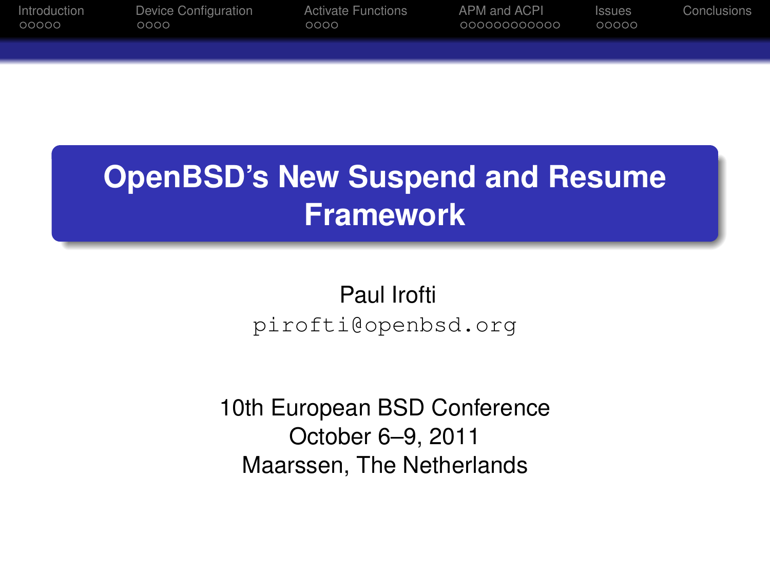| Introduction | Device Configuration | <b>Activate Functions</b> | APM and ACPL | <b>SSUES</b> | Conclusions |
|--------------|----------------------|---------------------------|--------------|--------------|-------------|
| 00000        | 0000                 | 0000                      | 000000000000 | 00000        |             |
|              |                      |                           |              |              |             |

# **OpenBSD's New Suspend and Resume Framework**

Paul Irofti pirofti@openbsd.org

10th European BSD Conference October 6–9, 2011 Maarssen, The Netherlands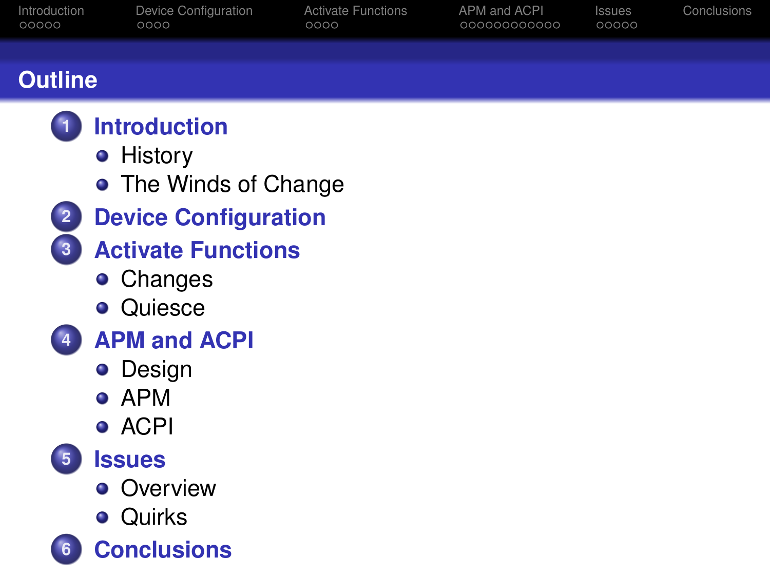| Introduction<br>00000                                                          | Device Configuration<br>0000                                                                                                                                                                                                   | <b>Activate Functions</b><br>0000 | APM and ACPI<br>00000000000 | Issues<br>00000 | Conclusions |
|--------------------------------------------------------------------------------|--------------------------------------------------------------------------------------------------------------------------------------------------------------------------------------------------------------------------------|-----------------------------------|-----------------------------|-----------------|-------------|
|                                                                                |                                                                                                                                                                                                                                |                                   |                             |                 |             |
| <b>Outline</b>                                                                 |                                                                                                                                                                                                                                |                                   |                             |                 |             |
| $\overline{2}$<br>$\overline{\mathbf{3}}$<br>$\overline{4}$<br>$5\overline{5}$ | <b>Introduction</b><br>• History<br>• The Winds of Change<br><b>Device Configuration</b><br><b>Activate Functions</b><br>• Changes<br>• Quiesce<br><b>APM and ACPI</b><br>• Design<br>$\bullet$ APM<br>• ACPI<br><b>Issues</b> |                                   |                             |                 |             |
|                                                                                | • Overview                                                                                                                                                                                                                     |                                   |                             |                 |             |
|                                                                                | • Quirks                                                                                                                                                                                                                       |                                   |                             |                 |             |
| 6                                                                              | <b>Conclusions</b>                                                                                                                                                                                                             |                                   |                             |                 |             |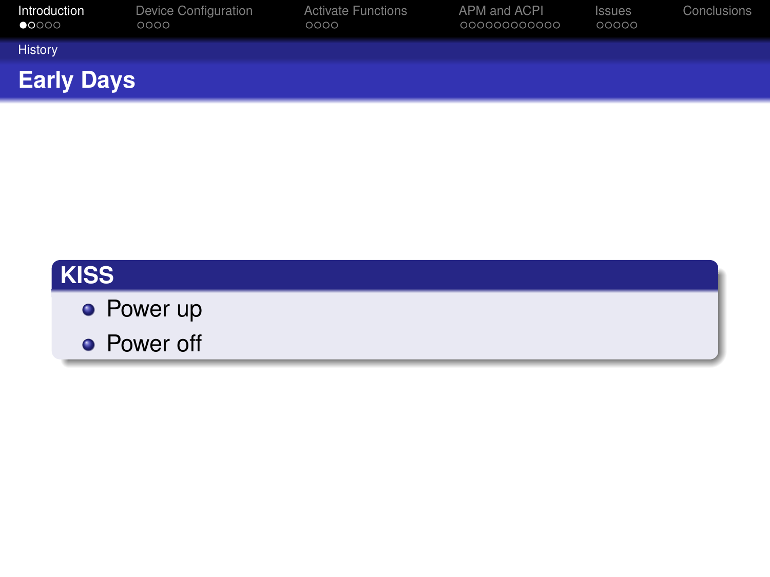| Introduction<br>$\bullet$ 0000 | Device Configuration<br>0000 | <b>Activate Functions</b><br>0000 | APM and ACPI<br>000000000000 | <b>Issues</b><br>00000 | Conclusions |
|--------------------------------|------------------------------|-----------------------------------|------------------------------|------------------------|-------------|
| <b>History</b>                 |                              |                                   |                              |                        |             |
| <b>Early Days</b>              |                              |                                   |                              |                        |             |

## **KISS**

- **•** Power up
- <span id="page-2-0"></span>**•** Power off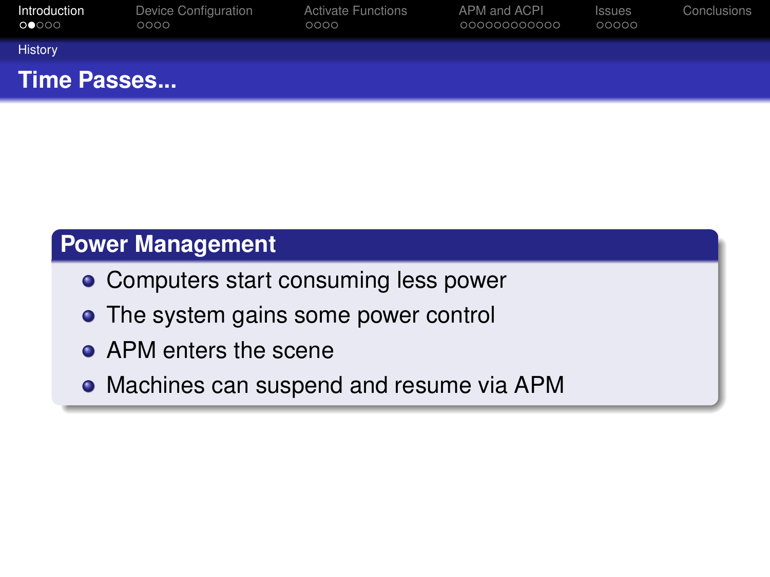| Introduction<br>$\circ \bullet \circ \circ \circ$ | Device Configuration<br>0000 | <b>Activate Functions</b><br>0000 | APM and ACPI<br>000000000000 | <b>Issues</b><br>00000 | Conclusions |
|---------------------------------------------------|------------------------------|-----------------------------------|------------------------------|------------------------|-------------|
| History                                           |                              |                                   |                              |                        |             |
| Time Passes                                       |                              |                                   |                              |                        |             |

## **Power Management**

- Computers start consuming less power
- The system gains some power control
- **APM enters the scene**
- <span id="page-3-0"></span>Machines can suspend and resume via APM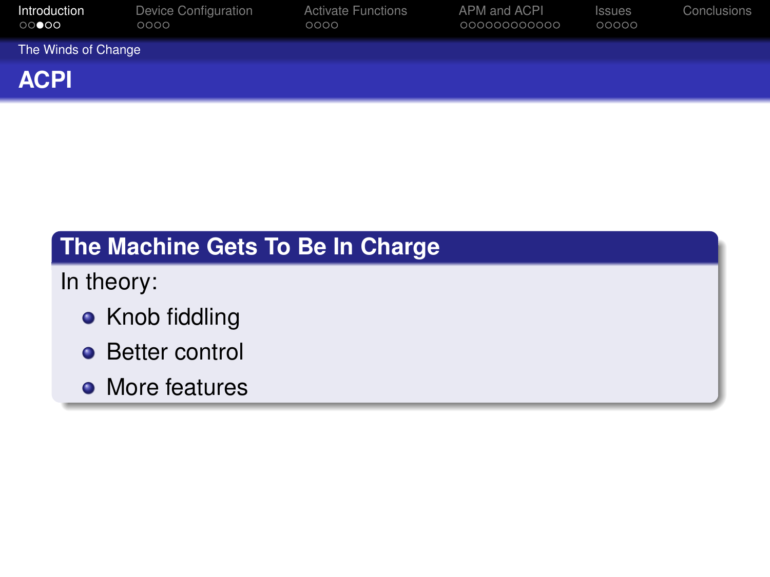| Introduction<br>$\circ\circ\bullet\circ\circ$ | Device Configuration<br>0000 | <b>Activate Functions</b><br>0000 | APM and ACPI<br>000000000000 | <b>Issues</b><br>00000 | Conclusions |  |  |  |
|-----------------------------------------------|------------------------------|-----------------------------------|------------------------------|------------------------|-------------|--|--|--|
| The Winds of Change                           |                              |                                   |                              |                        |             |  |  |  |
| <b>ACPI</b>                                   |                              |                                   |                              |                        |             |  |  |  |

## **The Machine Gets To Be In Charge**

In theory:

- Knob fiddling
- **•** Better control
- <span id="page-4-0"></span>• More features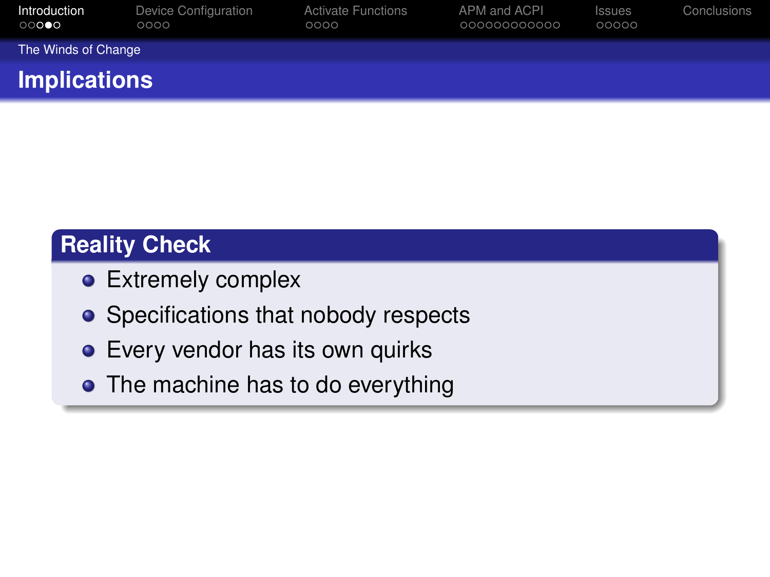| Introduction<br>$\circ\circ\bullet\circ$ | Device Configuration<br>0000 | <b>Activate Functions</b><br>0000 | APM and ACPI<br>000000000000 | <b>Issues</b><br>00000 | Conclusions |  |  |  |
|------------------------------------------|------------------------------|-----------------------------------|------------------------------|------------------------|-------------|--|--|--|
| The Winds of Change                      |                              |                                   |                              |                        |             |  |  |  |
| <b>Implications</b>                      |                              |                                   |                              |                        |             |  |  |  |

## **Reality Check**

- **•** Extremely complex
- **•** Specifications that nobody respects
- **•** Every vendor has its own quirks
- <span id="page-5-0"></span>• The machine has to do everything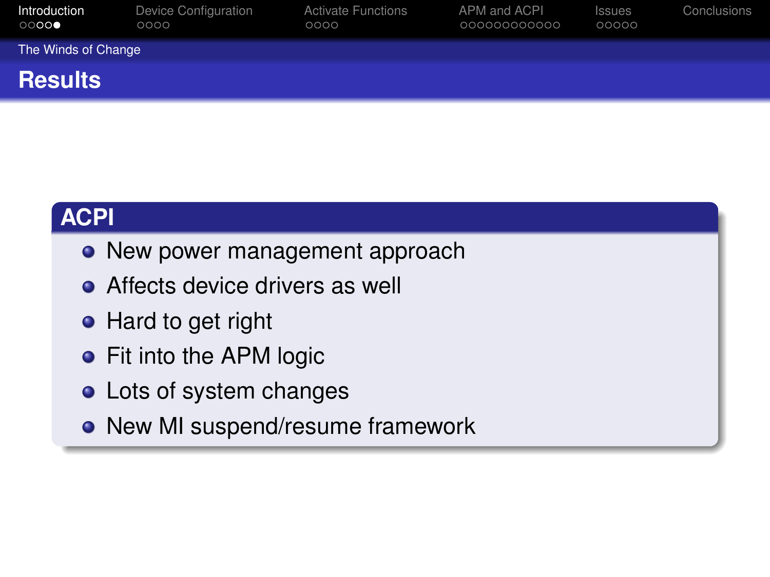| Introduction<br>$\circ\circ\circ\bullet$ | Device Configuration<br>0000 | <b>Activate Functions</b><br>0000 | APM and ACPI<br>000000000000 | <b>Issues</b><br>00000 | Conclusions |  |  |  |  |
|------------------------------------------|------------------------------|-----------------------------------|------------------------------|------------------------|-------------|--|--|--|--|
|                                          | The Winds of Change          |                                   |                              |                        |             |  |  |  |  |
| <b>Results</b>                           |                              |                                   |                              |                        |             |  |  |  |  |

## **ACPI**

- New power management approach
- **•** Affects device drivers as well
- Hard to get right
- Fit into the APM logic
- **o** Lots of system changes
- <span id="page-6-0"></span>• New MI suspend/resume framework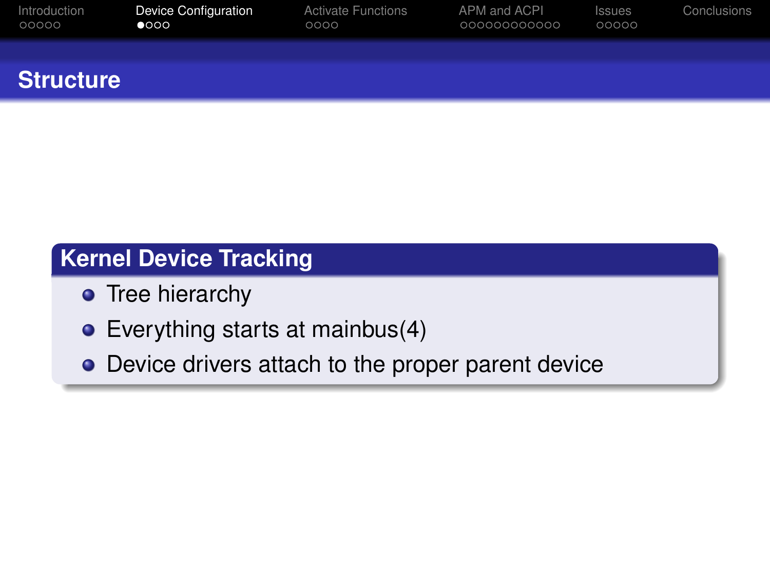| Introduction     | Device Configuration | <b>Activate Functions</b> | APM and ACPI | <b>Issues</b> | Conclusions |
|------------------|----------------------|---------------------------|--------------|---------------|-------------|
| 00000            | $\bullet$ 000        | 0000                      | 000000000000 | 00000         |             |
| <b>Structure</b> |                      |                           |              |               |             |

## **Kernel Device Tracking**

- **•** Tree hierarchy
- Everything starts at mainbus(4)
- <span id="page-7-0"></span>• Device drivers attach to the proper parent device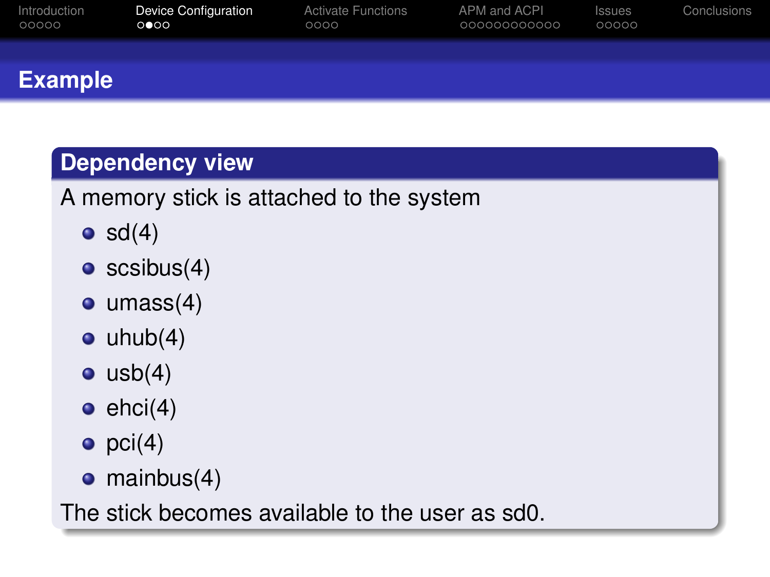| Introduction   | <b>Device Configuration</b> | <b>Activate Functions</b> | APM and ACPI | <b>Issues</b> | Conclusions |
|----------------|-----------------------------|---------------------------|--------------|---------------|-------------|
| 00000          | 0 000                       | ೦೦೦೦                      | 000000000000 | 00000         |             |
| <b>Example</b> |                             |                           |              |               |             |

## **Dependency view**

## A memory stick is attached to the system

- $\bullet$  sd(4)
- $\bullet$  scsibus(4)
- $\bullet$  umass(4)
- $\bullet$  uhub $(4)$
- $\bullet$  usb $(4)$
- $\bullet$  ehci $(4)$
- $pci(4)$
- $\bullet$  mainbus(4)

The stick becomes available to the user as sd0.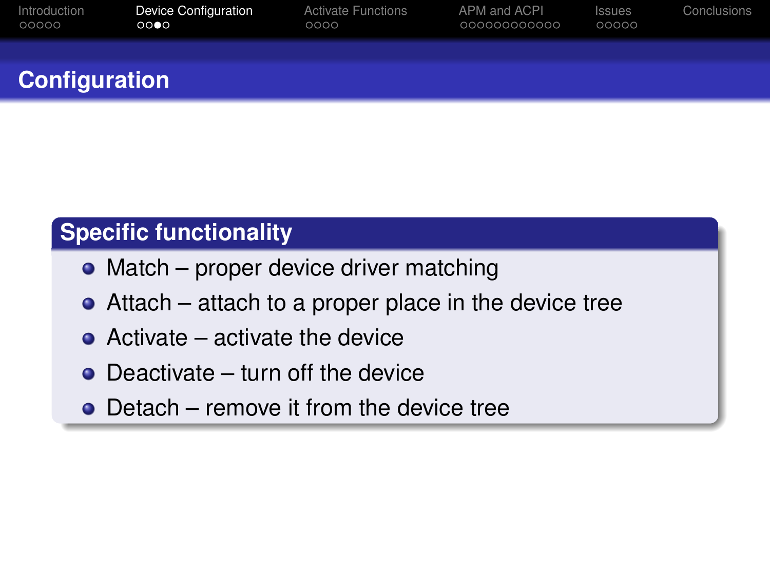| Introduction         | <b>Device Configuration</b> | <b>Activate Functions</b> | APM and ACPI | Issues | Conclusions |
|----------------------|-----------------------------|---------------------------|--------------|--------|-------------|
| 00000                | 0000                        | 0000                      | 00000000000  | 00000  |             |
| <b>Configuration</b> |                             |                           |              |        |             |

## **Specific functionality**

- Match proper device driver matching
- Attach attach to a proper place in the device tree
- **•** Activate activate the device
- Deactivate turn off the device
- Detach remove it from the device tree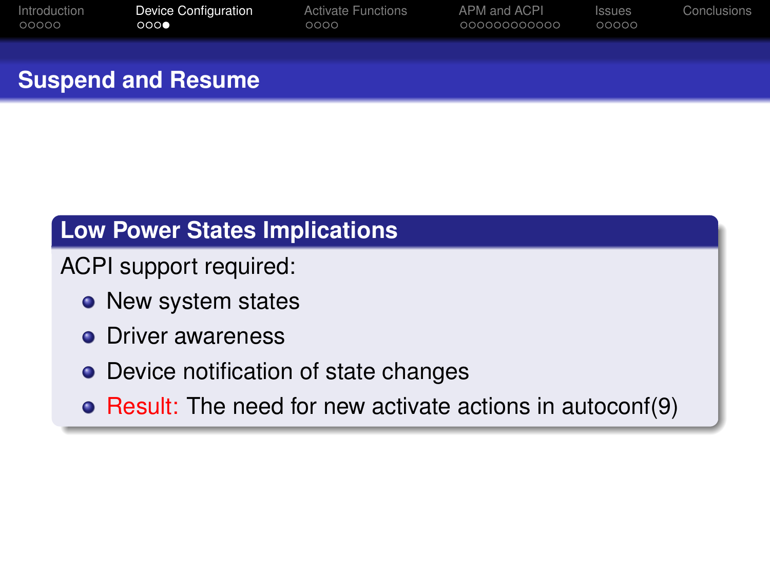| Introduction | <b>Device Configuration</b> | <b>Activate Functions</b> | APM and ACPI | Issues | Conclusions |
|--------------|-----------------------------|---------------------------|--------------|--------|-------------|
| 00000        | 000                         | 0000                      | 000000000000 | 00000  |             |
|              |                             |                           |              |        |             |

## **Suspend and Resume**

## **Low Power States Implications**

ACPI support required:

- New system states
- **o** Driver awareness
- Device notification of state changes
- Result: The need for new activate actions in autoconf(9)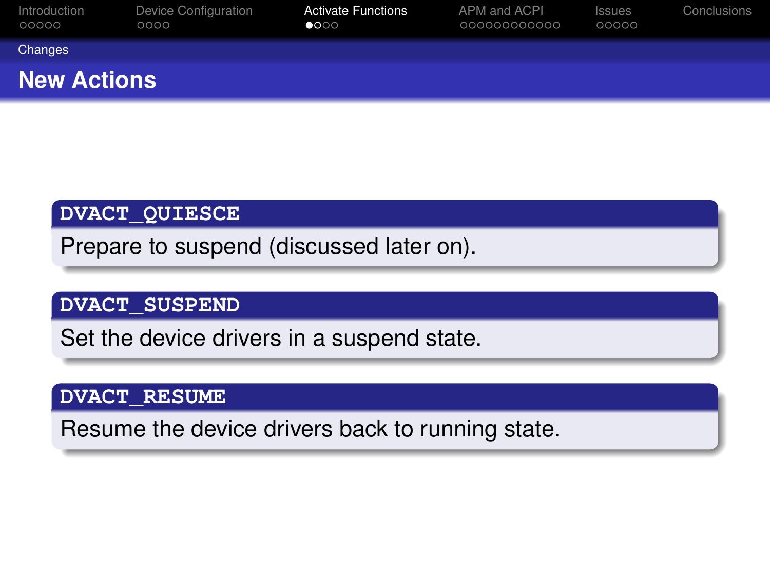| Introduction<br>00000 | Device Configuration<br>0000 | <b>Activate Functions</b><br>$\bullet$ 000 | APM and ACPI<br>00000000000 | <b>Issues</b><br>00000 | Conclusions |
|-----------------------|------------------------------|--------------------------------------------|-----------------------------|------------------------|-------------|
| Changes               |                              |                                            |                             |                        |             |
| <b>New Actions</b>    |                              |                                            |                             |                        |             |

#### **DVACT\_QUIESCE**

Prepare to suspend (discussed later on).

#### **DVACT\_SUSPEND**

Set the device drivers in a suspend state.

#### **DVACT\_RESUME**

<span id="page-11-0"></span>Resume the device drivers back to running state.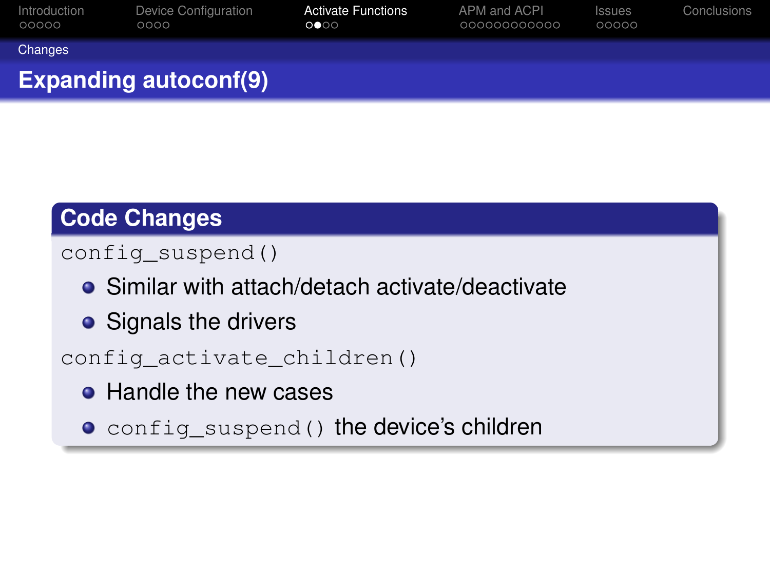| Introduction<br>00000 | Device Configuration<br>0000 | <b>Activate Functions</b><br>$\circ \bullet \circ \circ$ | APM and ACPI<br>000000000000 | <b>Issues</b><br>00000 | Conclusions |
|-----------------------|------------------------------|----------------------------------------------------------|------------------------------|------------------------|-------------|
| Changes               |                              |                                                          |                              |                        |             |
|                       | <b>Expanding autoconf(9)</b> |                                                          |                              |                        |             |

## **Code Changes**

#### config\_suspend()

- **•** Similar with attach/detach activate/deactivate
- Signals the drivers

config\_activate\_children()

- Handle the new cases
- <span id="page-12-0"></span> $\bullet$  config suspend() the device's children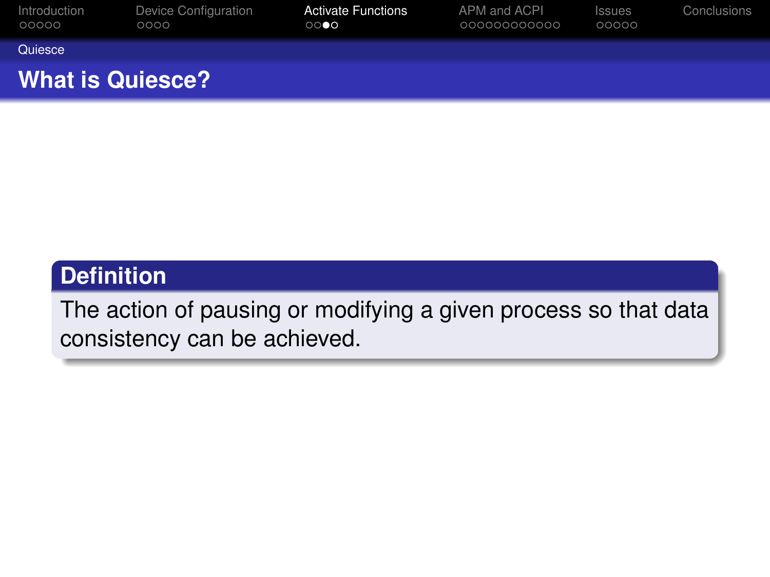| Device Configuration<br>0000 | <b>Activate Functions</b><br>$\circ\circ\bullet\circ$ | APM and ACPI<br>000000000000 | <b>Issues</b><br>00000 | Conclusions |
|------------------------------|-------------------------------------------------------|------------------------------|------------------------|-------------|
|                              |                                                       |                              |                        |             |
| <b>What is Quiesce?</b>      |                                                       |                              |                        |             |
|                              |                                                       |                              |                        |             |

## **Definition**

<span id="page-13-0"></span>The action of pausing or modifying a given process so that data consistency can be achieved.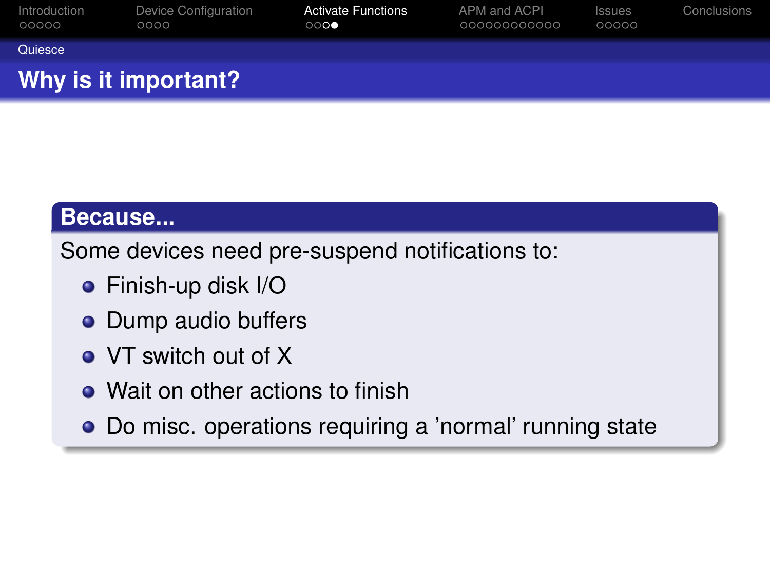|                       | Why is it important?         |                                                  |                              |                        |             |
|-----------------------|------------------------------|--------------------------------------------------|------------------------------|------------------------|-------------|
| Quiesce               |                              |                                                  |                              |                        |             |
| Introduction<br>00000 | Device Configuration<br>0000 | <b>Activate Functions</b><br>$\circ\circ\bullet$ | APM and ACPI<br>000000000000 | <b>Issues</b><br>00000 | Conclusions |

#### **Because...**

Some devices need pre-suspend notifications to:

- Finish-up disk I/O
- Dump audio buffers
- VT switch out of X
- Wait on other actions to finish
- <span id="page-14-0"></span>Do misc. operations requiring a 'normal' running state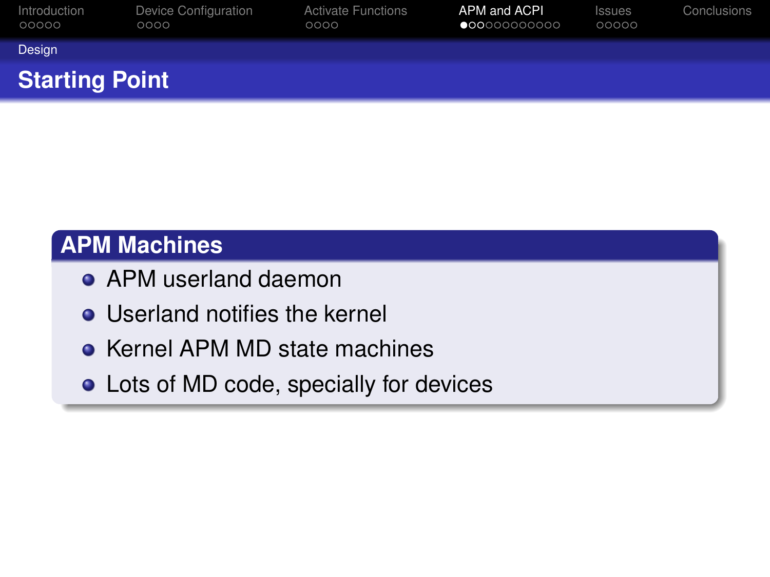| Introduction<br>00000 | Device Configuration<br>0000 | <b>Activate Functions</b><br>0000 | APM and ACPI<br>$\bullet \hspace{-0.2em}\bullet \hspace{-0.2em}\bullet \hspace{-0.2em} \circ \hspace{-0.2em} \circ \hspace{-0.2em} \circ \hspace{-0.2em} \circ \hspace{-0.2em} \circ \hspace{-0.2em} \circ \hspace{-0.2em} \circ \hspace{-0.2em} \circ \hspace{-0.2em} \circ \hspace{-0.2em} \circ \hspace{-0.2em} \circ \hspace{-0.2em} \circ \hspace{-0.2em} \circ$ | <b>Issues</b><br>00000 | Conclusions |
|-----------------------|------------------------------|-----------------------------------|-----------------------------------------------------------------------------------------------------------------------------------------------------------------------------------------------------------------------------------------------------------------------------------------------------------------------------------------------------------------------|------------------------|-------------|
| Design                |                              |                                   |                                                                                                                                                                                                                                                                                                                                                                       |                        |             |
| <b>Starting Point</b> |                              |                                   |                                                                                                                                                                                                                                                                                                                                                                       |                        |             |

#### **APM Machines**

- **APM userland daemon**
- **•** Userland notifies the kernel
- Kernel APM MD state machines
- <span id="page-15-0"></span>Lots of MD code, specially for devices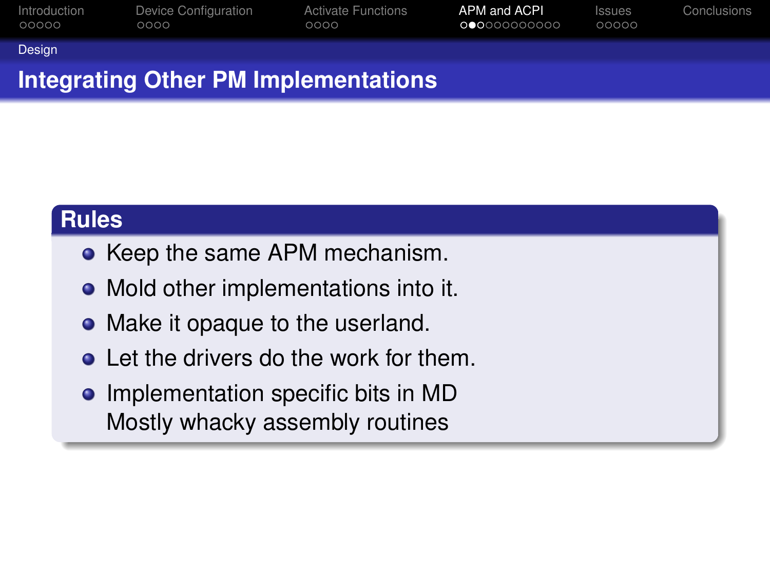| Introduction | Device Configuration | <b>Activate Functions</b> | APM and ACPI | Issues | Conclusions |
|--------------|----------------------|---------------------------|--------------|--------|-------------|
| 00000        | 0000                 | 0000                      | 00000000000  | 00000  |             |
| Design       |                      |                           |              |        |             |

## **Integrating Other PM Implementations**

#### **Rules**

- Keep the same APM mechanism.
- Mold other implementations into it.
- Make it opaque to the userland.
- **Q** Let the drivers do the work for them.
- <span id="page-16-0"></span>• Implementation specific bits in MD Mostly whacky assembly routines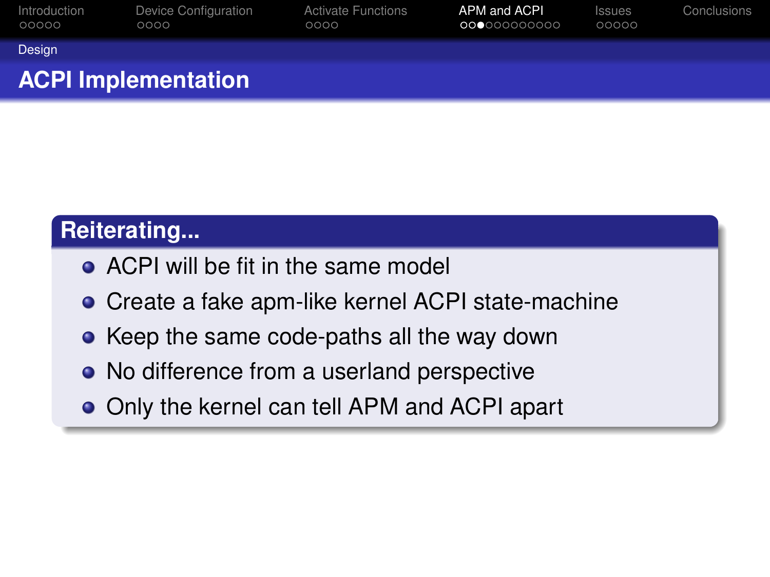| Introduction<br>00000 | Device Configuration<br>0000 | <b>Activate Functions</b><br>0000 | APM and ACPI<br>00000000000 | <b>Issues</b><br>00000 | Conclusions |
|-----------------------|------------------------------|-----------------------------------|-----------------------------|------------------------|-------------|
| Design                |                              |                                   |                             |                        |             |
|                       | <b>ACPI Implementation</b>   |                                   |                             |                        |             |

## **Reiterating...**

- ACPI will be fit in the same model
- Create a fake apm-like kernel ACPI state-machine
- Keep the same code-paths all the way down
- No difference from a userland perspective
- <span id="page-17-0"></span>• Only the kernel can tell APM and ACPI apart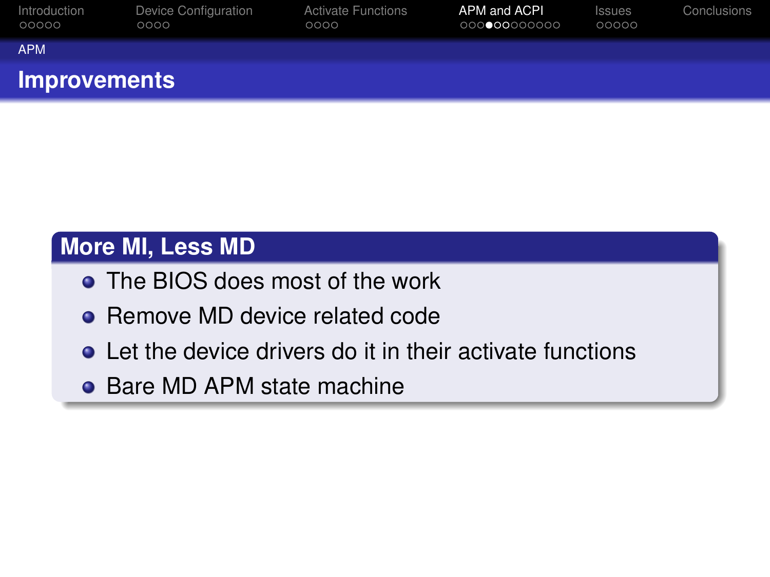| Introduction<br>00000 | Device Configuration<br>0000 | <b>Activate Functions</b><br>0000 | APM and ACPI<br>00000000000 | <b>Issues</b><br>00000 | Conclusions |
|-----------------------|------------------------------|-----------------------------------|-----------------------------|------------------------|-------------|
| <b>APM</b>            |                              |                                   |                             |                        |             |
| <b>Improvements</b>   |                              |                                   |                             |                        |             |

## **More MI, Less MD**

- The BIOS does most of the work
- Remove MD device related code
- **•** Let the device drivers do it in their activate functions
- <span id="page-18-0"></span>• Bare MD APM state machine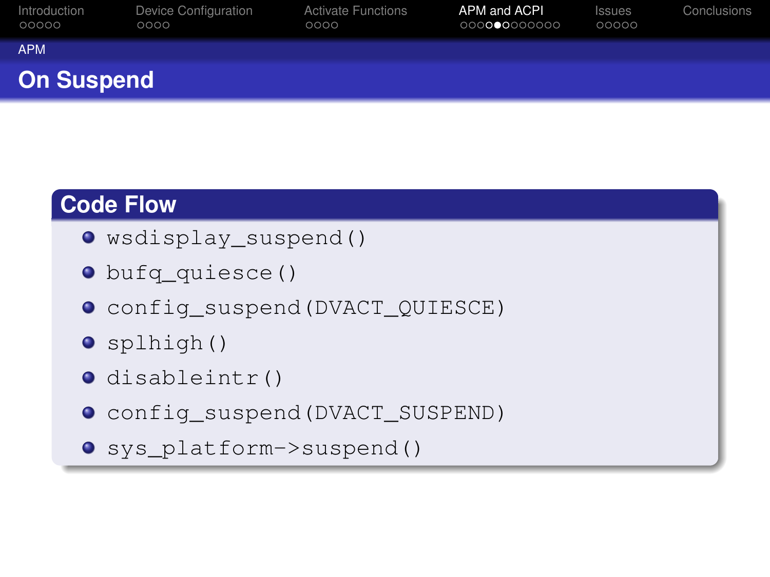| Introduction<br>00000 | Device Configuration<br>0000 | <b>Activate Functions</b><br>0000 | APM and ACPI<br>000000000000 | <b>Issues</b><br>00000 | Conclusions |
|-----------------------|------------------------------|-----------------------------------|------------------------------|------------------------|-------------|
| <b>APM</b>            |                              |                                   |                              |                        |             |
| <b>On Suspend</b>     |                              |                                   |                              |                        |             |

## **Code Flow**

- wsdisplay\_suspend()
- bufq\_quiesce()
- config\_suspend(DVACT\_QUIESCE)
- splhigh()
- o disableintr()
- config\_suspend(DVACT\_SUSPEND)
- <span id="page-19-0"></span>o sys platform->suspend()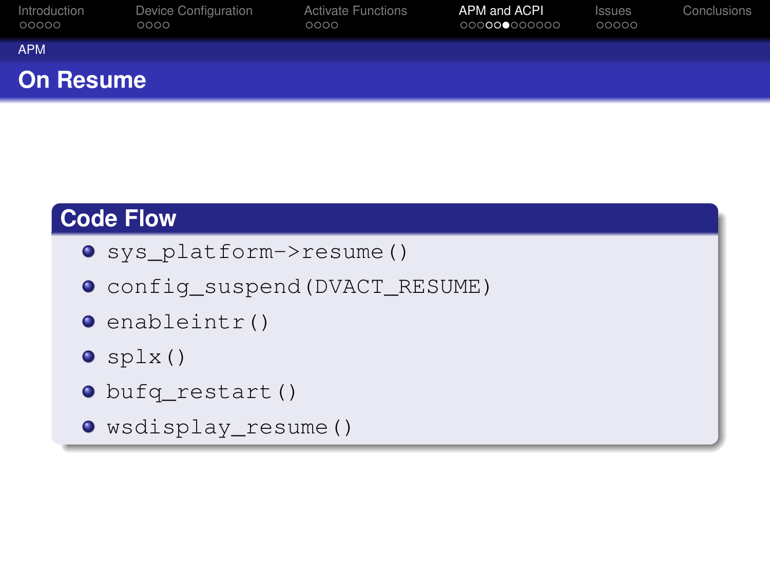| Introduction<br>00000 | Device Configuration<br>0000 | <b>Activate Functions</b><br>0000 | APM and ACPI<br>000000000000 | <b>Issues</b><br>00000 | Conclusions |
|-----------------------|------------------------------|-----------------------------------|------------------------------|------------------------|-------------|
| <b>APM</b>            |                              |                                   |                              |                        |             |
| <b>On Resume</b>      |                              |                                   |                              |                        |             |

## **Code Flow**

- sys\_platform->resume()
- config\_suspend(DVACT\_RESUME)
- $\bullet$  enableintr()
- $\bullet$  splx()
- bufq\_restart()
- <span id="page-20-0"></span>wsdisplay\_resume()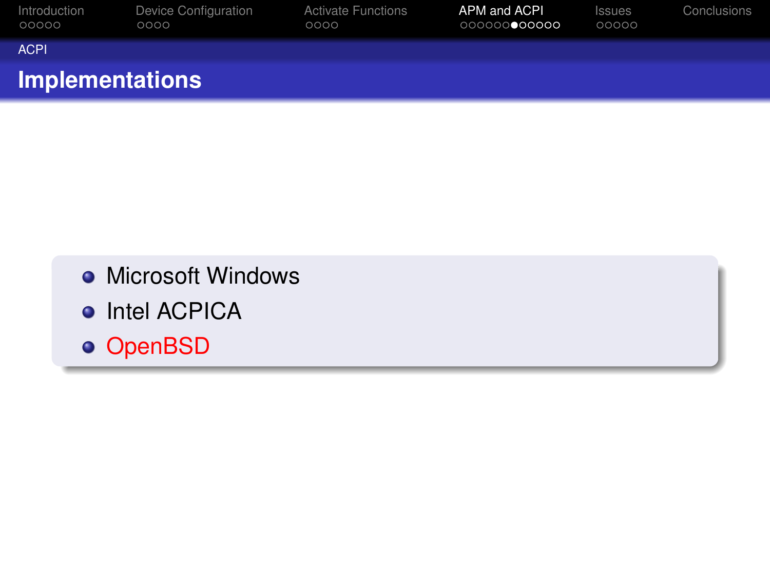| Introduction<br>00000  | Device Configuration<br>0000 | <b>Activate Functions</b><br>0000 | APM and ACPI<br>000000000000 | <b>Issues</b><br>00000 | Conclusions |
|------------------------|------------------------------|-----------------------------------|------------------------------|------------------------|-------------|
| <b>ACPI</b>            |                              |                                   |                              |                        |             |
| <b>Implementations</b> |                              |                                   |                              |                        |             |

- **Microsoft Windows**
- Intel ACPICA
- <span id="page-21-0"></span>o OpenBSD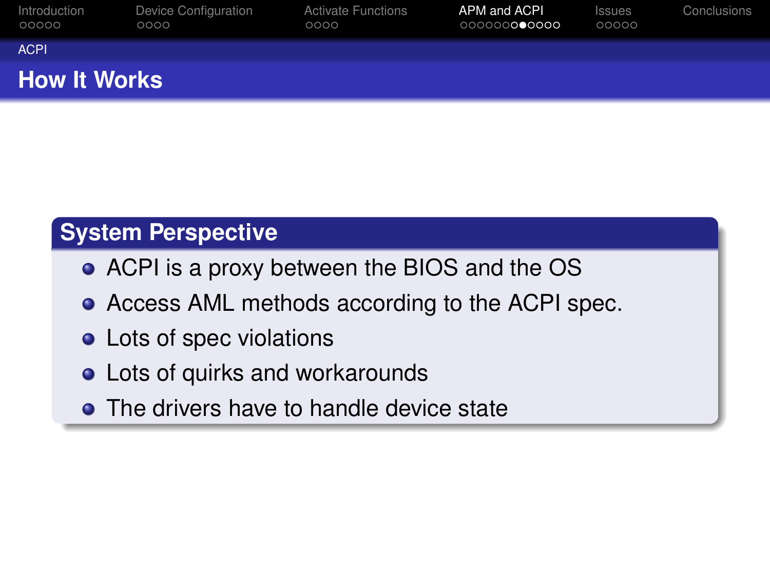| Introduction<br>00000 | Device Configuration<br>0000 | <b>Activate Functions</b><br>0000 | APM and ACPL.<br>000000000000 | <b>Issues</b><br>00000 | Conclusions |
|-----------------------|------------------------------|-----------------------------------|-------------------------------|------------------------|-------------|
| <b>ACPI</b>           |                              |                                   |                               |                        |             |
| <b>How It Works</b>   |                              |                                   |                               |                        |             |

## **System Perspective**

- ACPI is a proxy between the BIOS and the OS
- Access AML methods according to the ACPI spec.
- Lots of spec violations
- **.** Lots of quirks and workarounds
- <span id="page-22-0"></span>• The drivers have to handle device state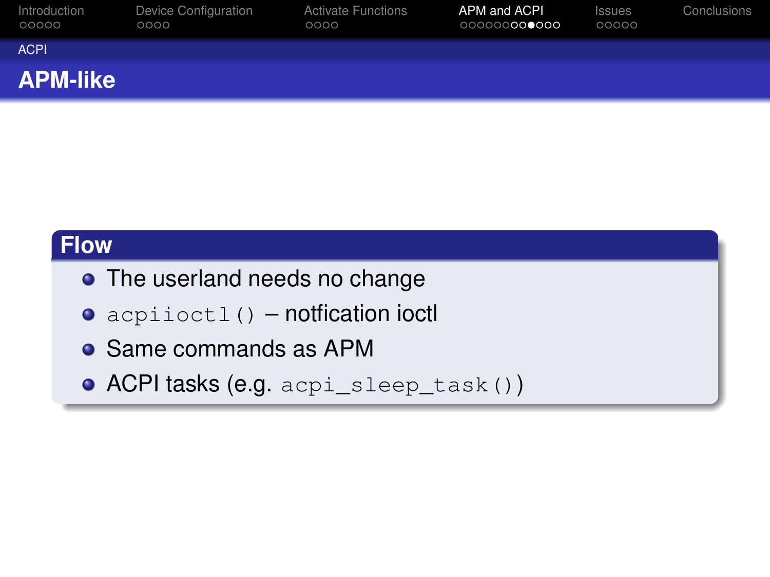| Introduction<br>00000 | Device Configuration<br>0000 | <b>Activate Functions</b><br>0000 | APM and ACPL.<br>000000000000 | <b>Issues</b><br>00000 | Conclusions |
|-----------------------|------------------------------|-----------------------------------|-------------------------------|------------------------|-------------|
| <b>ACPI</b>           |                              |                                   |                               |                        |             |
| <b>APM-like</b>       |                              |                                   |                               |                        |             |

#### **Flow**

- The userland needs no change
- acpiioctl() notfication ioctl
- Same commands as APM
- <span id="page-23-0"></span>ACPI tasks (e.g. acpi\_sleep\_task())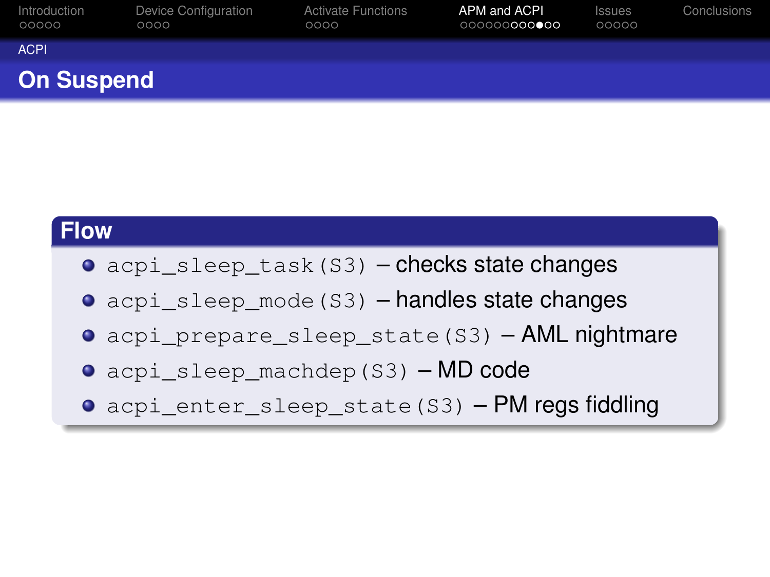| Introduction<br>00000 | Device Configuration<br>0000 | <b>Activate Functions</b><br>0000 | APM and ACPI<br>000000000000 | <b>Issues</b><br>00000 | Conclusions |  |  |
|-----------------------|------------------------------|-----------------------------------|------------------------------|------------------------|-------------|--|--|
| <b>ACPI</b>           |                              |                                   |                              |                        |             |  |  |
| <b>On Suspend</b>     |                              |                                   |                              |                        |             |  |  |

#### **Flow**

- **O** acpi sleep task(S3) checks state changes
- acpi\_sleep\_mode(S3) handles state changes
- **O** acpi prepare sleep state(S3) AML nightmare
- acpi\_sleep\_machdep(S3) MD code
- <span id="page-24-0"></span>**O** acpi\_enter\_sleep\_state(S3) – PM regs fiddling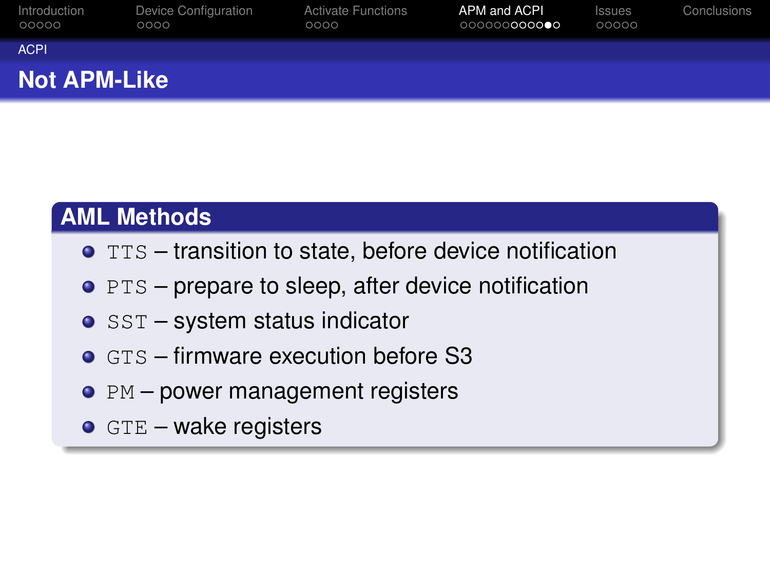| Introduction<br>00000 | Device Configuration<br>0000 | <b>Activate Functions</b><br>0000 | APM and ACPI<br>000000000000 | <b>Issues</b><br>00000 | Conclusions |  |
|-----------------------|------------------------------|-----------------------------------|------------------------------|------------------------|-------------|--|
| <b>ACPI</b>           |                              |                                   |                              |                        |             |  |
| <b>Not APM-Like</b>   |                              |                                   |                              |                        |             |  |

## **AML Methods**

- $\bullet$  TTS transition to state, before device notification
- $\bullet$  PTS prepare to sleep, after device notification
- $\bullet$  SST system status indicator
- $\bullet$  GTS firmware execution before S3
- $\bullet$  PM power management registers
- <span id="page-25-0"></span> $\bullet$  GTE – wake registers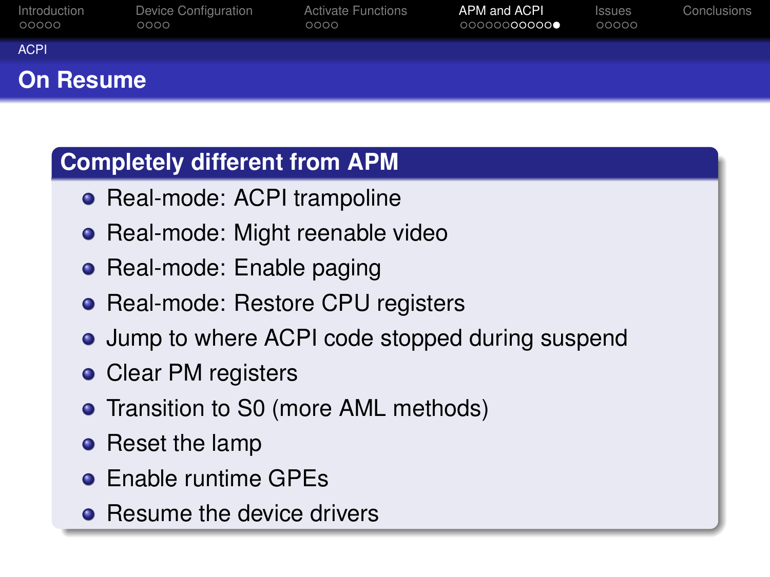| Introduction<br>00000 | Device Configuration<br>0000 | <b>Activate Functions</b><br>0000 | APM and ACPI<br>00000000000● | <b>Issues</b><br>00000 | Conclusions |  |
|-----------------------|------------------------------|-----------------------------------|------------------------------|------------------------|-------------|--|
| <b>ACPI</b>           |                              |                                   |                              |                        |             |  |
| <b>On Resume</b>      |                              |                                   |                              |                        |             |  |

## **Completely different from APM**

- Real-mode: ACPI trampoline
- Real-mode: Might reenable video
- Real-mode: Enable paging
- Real-mode: Restore CPU registers
- Jump to where ACPI code stopped during suspend
- Clear PM registers
- Transition to S0 (more AML methods)
- Reset the lamp
- **Enable runtime GPEs**
- <span id="page-26-0"></span>• Resume the device drivers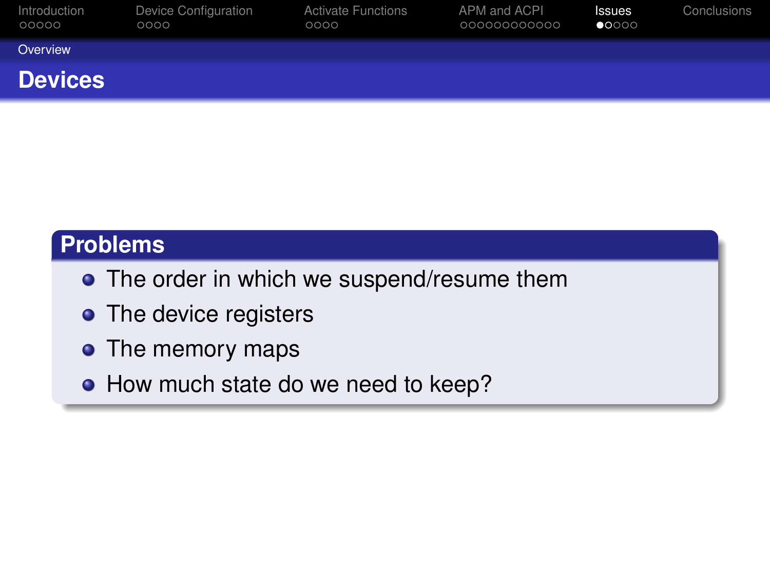| Introduction<br>00000 | <b>Device Configuration</b><br>0000 | <b>Activate Functions</b><br>0000 | APM and ACPI<br>000000000000 | <b>Issues</b><br>$\bullet$ 0000 | Conclusions |
|-----------------------|-------------------------------------|-----------------------------------|------------------------------|---------------------------------|-------------|
| Overview              |                                     |                                   |                              |                                 |             |
| <b>Devices</b>        |                                     |                                   |                              |                                 |             |

#### **Problems**

- The order in which we suspend/resume them
- The device registers
- The memory maps
- <span id="page-27-0"></span>• How much state do we need to keep?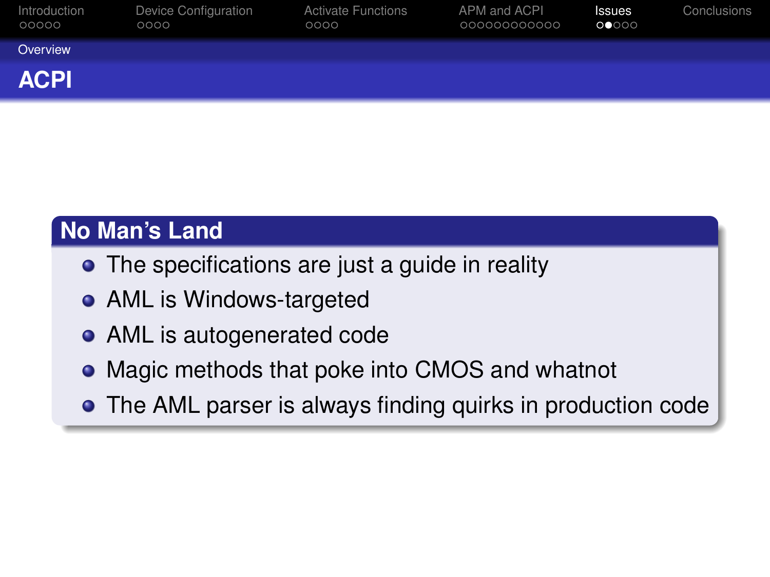| Introduction<br>00000 | Device Configuration<br>0000 | <b>Activate Functions</b><br>0000 | APM and ACPI<br>000000000000 | <b>Issues</b><br>00000 | Conclusions |
|-----------------------|------------------------------|-----------------------------------|------------------------------|------------------------|-------------|
| Overview              |                              |                                   |                              |                        |             |
| <b>ACPI</b>           |                              |                                   |                              |                        |             |

## **No Man's Land**

- The specifications are just a guide in reality
- AML is Windows-targeted
- AML is autogenerated code
- Magic methods that poke into CMOS and whatnot
- <span id="page-28-0"></span>The AML parser is always finding quirks in production code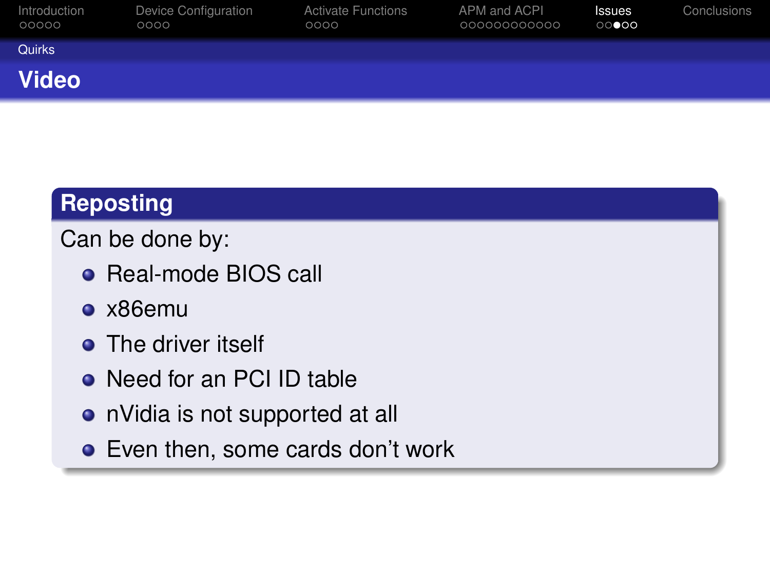| Introduction<br>00000 | Device Configuration<br>0000 | <b>Activate Functions</b><br>0000 | APM and ACPI<br>000000000000 | <b>Issues</b><br>$\circ\circ\bullet\circ\circ$ | Conclusions |
|-----------------------|------------------------------|-----------------------------------|------------------------------|------------------------------------------------|-------------|
| Quirks                |                              |                                   |                              |                                                |             |
| <b>Video</b>          |                              |                                   |                              |                                                |             |

## **Reposting**

Can be done by:

- Real-mode BIOS call
- x86emu
- **•** The driver itself
- **Need for an PCI ID table**
- nVidia is not supported at all
- <span id="page-29-0"></span>Even then, some cards don't work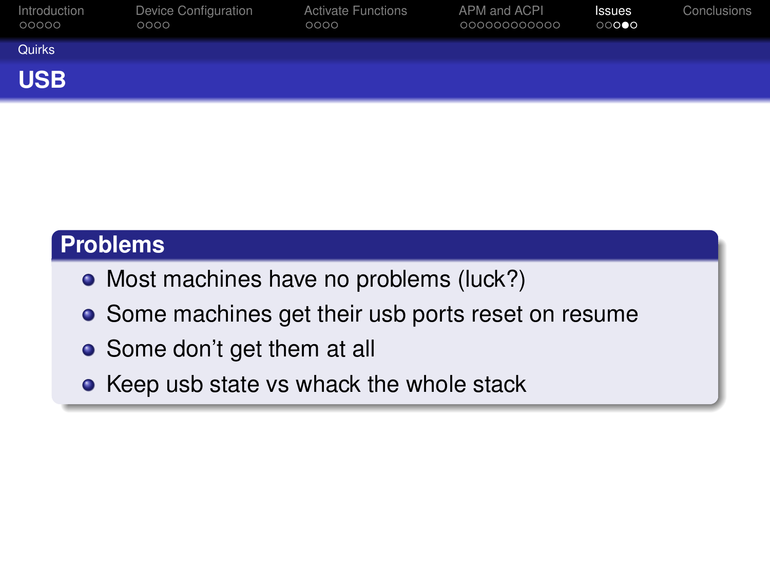| Introduction<br>00000 | Device Configuration<br>0000 | <b>Activate Functions</b><br>0000 | APM and ACPI<br>000000000000 | Issues<br>00000 | Conclusions |
|-----------------------|------------------------------|-----------------------------------|------------------------------|-----------------|-------------|
| Quirks                |                              |                                   |                              |                 |             |
| <b>USB</b>            |                              |                                   |                              |                 |             |

#### **Problems**

- Most machines have no problems (luck?)
- Some machines get their usb ports reset on resume
- Some don't get them at all
- <span id="page-30-0"></span>• Keep usb state vs whack the whole stack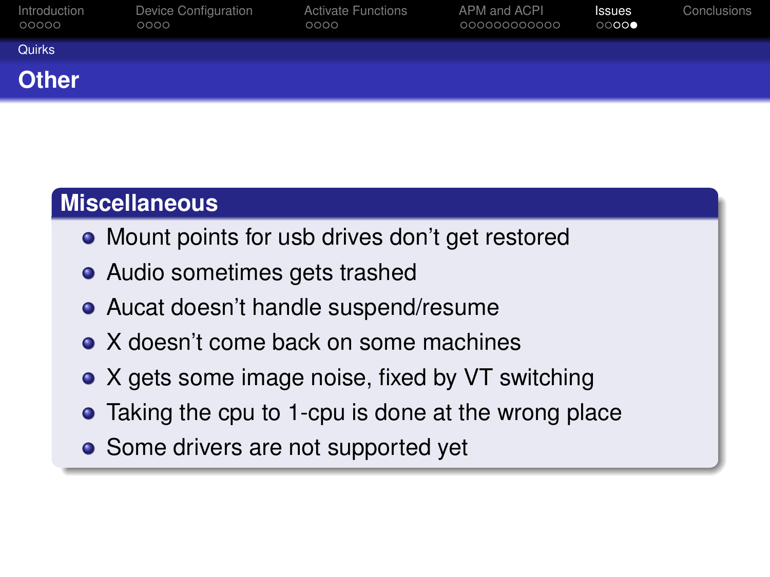| Introduction<br>00000 | Device Configuration<br>0000 | <b>Activate Functions</b><br>0000 | APM and ACPI<br>000000000000 | <b>Issues</b><br>$\circ\circ\circ\bullet$ | Conclusions |
|-----------------------|------------------------------|-----------------------------------|------------------------------|-------------------------------------------|-------------|
| Quirks                |                              |                                   |                              |                                           |             |
| <b>Other</b>          |                              |                                   |                              |                                           |             |

#### **Miscellaneous**

- Mount points for usb drives don't get restored
- Audio sometimes gets trashed
- Aucat doesn't handle suspend/resume
- X doesn't come back on some machines
- X gets some image noise, fixed by VT switching
- Taking the cpu to 1-cpu is done at the wrong place
- <span id="page-31-0"></span>• Some drivers are not supported yet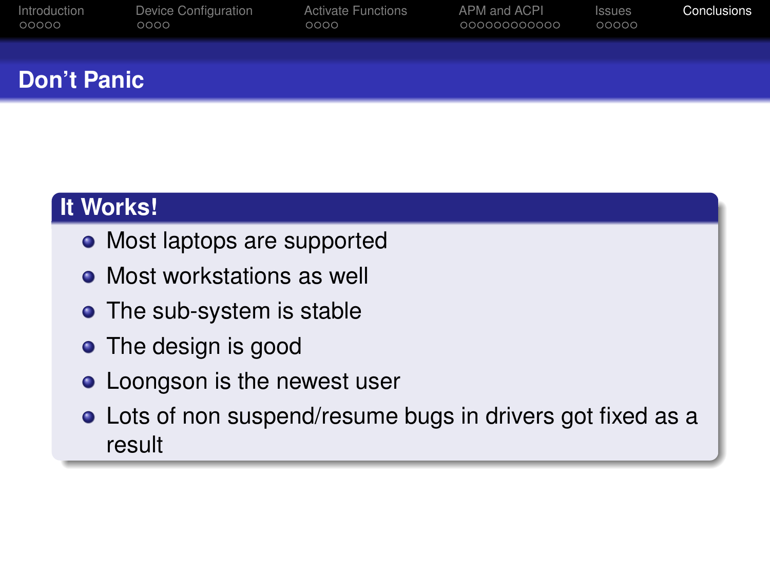| Introduction | Device Configuration | <b>Activate Functions</b> | APM and ACPI | Issues | Conclusions |
|--------------|----------------------|---------------------------|--------------|--------|-------------|
| 00000        | 0000                 | 0000                      | 000000000000 | 00000  |             |
|              |                      |                           |              |        |             |

## **Don't Panic**

## **It Works!**

- Most laptops are supported
- Most workstations as well
- The sub-system is stable
- The design is good
- Loongson is the newest user
- <span id="page-32-0"></span>Lots of non suspend/resume bugs in drivers got fixed as a result